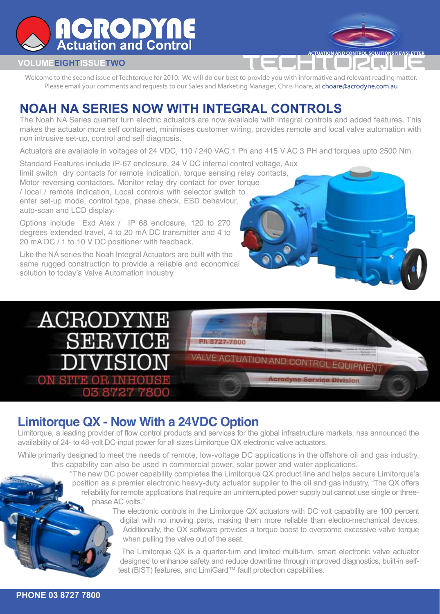

#### **VOLUMEEIGHTISSUETWO**

Welcome to the second issue of Techtorque for 2010. We will do our best to provide you with informative and relevant reading matter. Please email your comments and requests to our Sales and Marketing Manager, Chris Hoare, at choare@acrodyne.com.au

**CTUATION AND CONTROL SOLUTIONS NEWSLETTE** 

### **NOAH NA SERIES NOW WITH INTEGRAL CONTROLS**

The Noah NA Series quarter turn electric actuators are now available with integral controls and added features. This makes the actuator more self contained, minimises customer wiring, provides remote and local valve automation with non intrusive set-up, control and self diagnosis.

Actuators are available in voltages of 24 VDC, 110 / 240 VAC 1 Ph and 415 V AC 3 PH and torques upto 2500 Nm.

Standard Features include IP-67 enclosure, 24 V DC internal control voltage, Aux limit switch dry contacts for remote indication, torque sensing relay contacts, Motor reversing contactors, Monitor relay dry contact for over torque / local / remote indication, Local controls with selector switch to enter set-up mode, control type, phase check, ESD behaviour, auto-scan and LCD display.

Options include Exd Atex / IP 68 enclosure, 120 to 270 degrees extended travel, 4 to 20 mA DC transmitter and 4 to 20 mA DC / 1 to 10 V DC positioner with feedback.

Like the NA series the Noah Integral Actuators are built with the same rugged construction to provide a reliable and economical solution to today's Valve Automation Industry.



#### **Limitorque QX - Now With a 24VDC Option**

Limitorque, a leading provider of flow control products and services for the global infrastructure markets, has announced the availability of 24- to 48-volt DC-input power for all sizes Limitorque QX electronic valve actuators.

While primarily designed to meet the needs of remote, low-voltage DC applications in the offshore oil and gas industry, this capability can also be used in commercial power, solar power and water applications.

> "The new DC power capability completes the Limitorque QX product line and helps secure Limitorque's position as a premier electronic heavy-duty actuator supplier to the oil and gas industry, "The QX offers reliability for remote applications that require an uninterrupted power supply but cannot use single or threephase AC volts."

> > The electronic controls in the Limitorque QX actuators with DC volt capability are 100 percent digital with no moving parts, making them more reliable than electro-mechanical devices. Additionally, the QX software provides a torque boost to overcome excessive valve torque when pulling the valve out of the seat.

The Limitorque QX is a quarter-turn and limited multi-turn, smart electronic valve actuator designed to enhance safety and reduce downtime through improved diagnostics, built-in selftest (BIST) features, and LimiGard™ fault protection capabilities.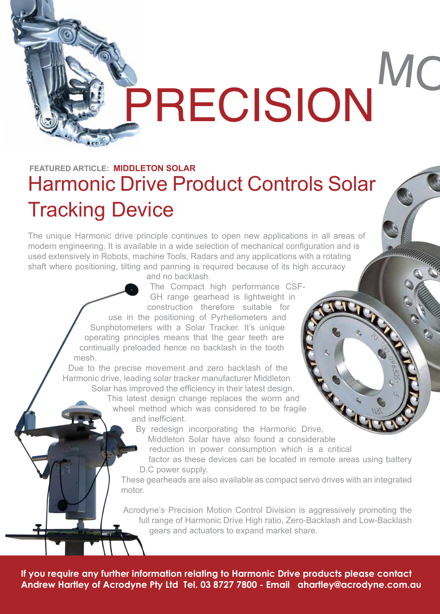## MC PRECISION

## Harmonic Drive Product Controls Solar Tracking Device **FEATURED ARTICLE: MIDDLETON SOLAR**

The unique Harmonic drive principle continues to open new applications in all areas of modern engineering. It is available in a wide selection of mechanical configuration and is used extensively in Robots, machine Tools, Radars and any applications with a rotating shaft where positioning, tilting and panning is required because of its high accuracy

and no backlash.

The Compact high performance CSF-GH range gearhead is lightweight in construction therefore suitable for use in the positioning of Pyrheliometers and Sunphotometers with a Solar Tracker. It's unique operating principles means that the gear teeth are continually preloaded hence no backlash in the tooth mesh.

Due to the precise movement and zero backlash of the Harmonic drive, leading solar tracker manufacturer Middleton Solar has improved the efficiency in their latest design.

> This latest design change replaces the worm and wheel method which was considered to be fragile and inefficient.

> > By redesign incorporating the Harmonic Drive,

Middleton Solar have also found a considerable

reduction in power consumption which is a critical

factor as these devices can be located in remote areas using battery D.C power supply.

These gearheads are also available as compact servo drives with an integrated motor.

Acrodyne's Precision Motion Control Division is aggressively promoting the full range of Harmonic Drive High ratio, Zero-Backlash and Low-Backlash gears and actuators to expand market share.

**If you require any further information relating to Harmonic Drive products please contact Andrew Hartley of Acrodyne Pty Ltd Tel. 03 8727 7800 - Email ahartley@acrodyne.com.au**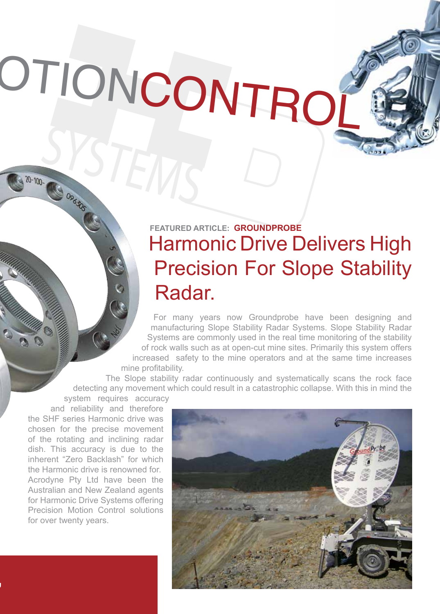# OTIONCONTRO

## Harmonic Drive Delivers High Precision For Slope Stability Radar. **FEATURED ARTICLE: GROUNDPROBE**

For many years now Groundprobe have been designing and manufacturing Slope Stability Radar Systems. Slope Stability Radar Systems are commonly used in the real time monitoring of the stability of rock walls such as at open-cut mine sites. Primarily this system offers increased safety to the mine operators and at the same time increases mine profitability.

The Slope stability radar continuously and systematically scans the rock face detecting any movement which could result in a catastrophic collapse. With this in mind the

system requires accuracy

SYSTEMS

and reliability and therefore the SHF series Harmonic drive was chosen for the precise movement of the rotating and inclining radar dish. This accuracy is due to the inherent "Zero Backlash" for which the Harmonic drive is renowned for. Acrodyne Pty Ltd have been the Australian and New Zealand agents for Harmonic Drive Systems offering Precision Motion Control solutions for over twenty years.